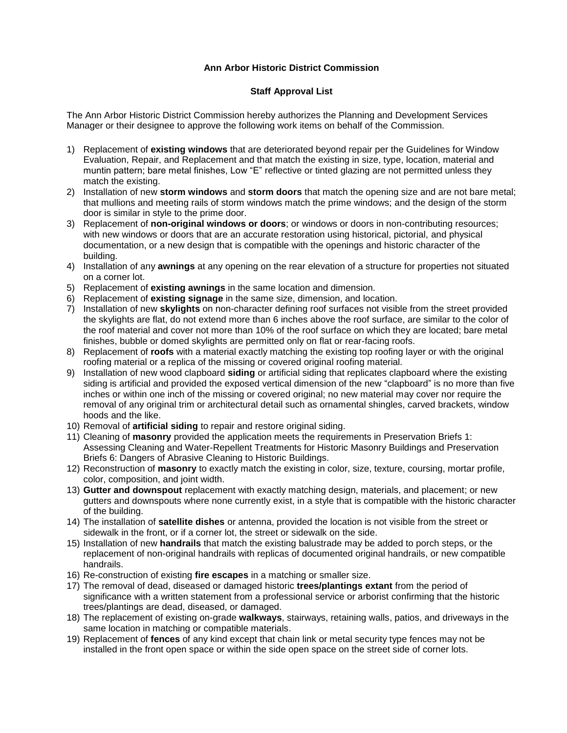## **Ann Arbor Historic District Commission**

## **Staff Approval List**

The Ann Arbor Historic District Commission hereby authorizes the Planning and Development Services Manager or their designee to approve the following work items on behalf of the Commission.

- 1) Replacement of **existing windows** that are deteriorated beyond repair per the Guidelines for Window Evaluation, Repair, and Replacement and that match the existing in size, type, location, material and muntin pattern; bare metal finishes, Low "E" reflective or tinted glazing are not permitted unless they match the existing.
- 2) Installation of new **storm windows** and **storm doors** that match the opening size and are not bare metal; that mullions and meeting rails of storm windows match the prime windows; and the design of the storm door is similar in style to the prime door.
- 3) Replacement of **non-original windows or doors**; or windows or doors in non-contributing resources; with new windows or doors that are an accurate restoration using historical, pictorial, and physical documentation, or a new design that is compatible with the openings and historic character of the building.
- 4) Installation of any **awnings** at any opening on the rear elevation of a structure for properties not situated on a corner lot.
- 5) Replacement of **existing awnings** in the same location and dimension.
- 6) Replacement of **existing signage** in the same size, dimension, and location.
- 7) Installation of new **skylights** on non-character defining roof surfaces not visible from the street provided the skylights are flat, do not extend more than 6 inches above the roof surface, are similar to the color of the roof material and cover not more than 10% of the roof surface on which they are located; bare metal finishes, bubble or domed skylights are permitted only on flat or rear-facing roofs.
- 8) Replacement of **roofs** with a material exactly matching the existing top roofing layer or with the original roofing material or a replica of the missing or covered original roofing material.
- 9) Installation of new wood clapboard **siding** or artificial siding that replicates clapboard where the existing siding is artificial and provided the exposed vertical dimension of the new "clapboard" is no more than five inches or within one inch of the missing or covered original; no new material may cover nor require the removal of any original trim or architectural detail such as ornamental shingles, carved brackets, window hoods and the like.
- 10) Removal of **artificial siding** to repair and restore original siding.
- 11) Cleaning of **masonry** provided the application meets the requirements in Preservation Briefs 1: Assessing Cleaning and Water-Repellent Treatments for Historic Masonry Buildings and Preservation Briefs 6: Dangers of Abrasive Cleaning to Historic Buildings.
- 12) Reconstruction of **masonry** to exactly match the existing in color, size, texture, coursing, mortar profile, color, composition, and joint width.
- 13) **Gutter and downspout** replacement with exactly matching design, materials, and placement; or new gutters and downspouts where none currently exist, in a style that is compatible with the historic character of the building.
- 14) The installation of **satellite dishes** or antenna, provided the location is not visible from the street or sidewalk in the front, or if a corner lot, the street or sidewalk on the side.
- 15) Installation of new **handrails** that match the existing balustrade may be added to porch steps, or the replacement of non-original handrails with replicas of documented original handrails, or new compatible handrails.
- 16) Re-construction of existing **fire escapes** in a matching or smaller size.
- 17) The removal of dead, diseased or damaged historic **trees/plantings extant** from the period of significance with a written statement from a professional service or arborist confirming that the historic trees/plantings are dead, diseased, or damaged.
- 18) The replacement of existing on-grade **walkways**, stairways, retaining walls, patios, and driveways in the same location in matching or compatible materials.
- 19) Replacement of **fences** of any kind except that chain link or metal security type fences may not be installed in the front open space or within the side open space on the street side of corner lots.